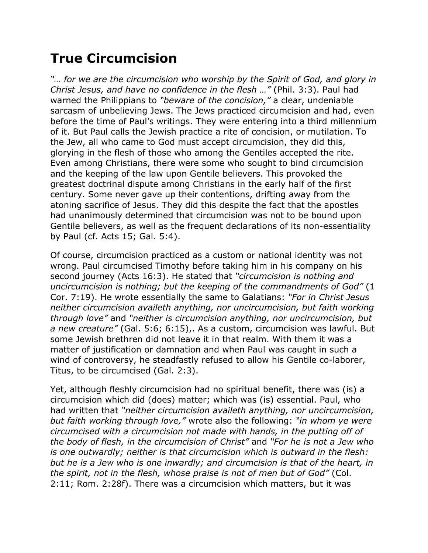## **True Circumcision**

*"… for we are the circumcision who worship by the Spirit of God, and glory in Christ Jesus, and have no confidence in the flesh …"* (Phil. 3:3). Paul had warned the Philippians to *"beware of the concision,"* a clear, undeniable sarcasm of unbelieving Jews. The Jews practiced circumcision and had, even before the time of Paul's writings. They were entering into a third millennium of it. But Paul calls the Jewish practice a rite of concision, or mutilation. To the Jew, all who came to God must accept circumcision, they did this, glorying in the flesh of those who among the Gentiles accepted the rite. Even among Christians, there were some who sought to bind circumcision and the keeping of the law upon Gentile believers. This provoked the greatest doctrinal dispute among Christians in the early half of the first century. Some never gave up their contentions, drifting away from the atoning sacrifice of Jesus. They did this despite the fact that the apostles had unanimously determined that circumcision was not to be bound upon Gentile believers, as well as the frequent declarations of its non-essentiality by Paul (cf. Acts 15; Gal. 5:4).

Of course, circumcision practiced as a custom or national identity was not wrong. Paul circumcised Timothy before taking him in his company on his second journey (Acts 16:3). He stated that *"circumcision is nothing and uncircumcision is nothing; but the keeping of the commandments of God"* (1 Cor. 7:19). He wrote essentially the same to Galatians: *"For in Christ Jesus neither circumcision availeth anything, nor uncircumcision, but faith working through love"* and *"neither is circumcision anything, nor uncircumcision, but a new creature"* (Gal. 5:6; 6:15),. As a custom, circumcision was lawful. But some Jewish brethren did not leave it in that realm. With them it was a matter of justification or damnation and when Paul was caught in such a wind of controversy, he steadfastly refused to allow his Gentile co-laborer, Titus, to be circumcised (Gal. 2:3).

Yet, although fleshly circumcision had no spiritual benefit, there was (is) a circumcision which did (does) matter; which was (is) essential. Paul, who had written that *"neither circumcision availeth anything, nor uncircumcision, but faith working through love,"* wrote also the following: *"in whom ye were circumcised with a circumcision not made with hands, in the putting off of the body of flesh, in the circumcision of Christ"* and *"For he is not a Jew who is one outwardly; neither is that circumcision which is outward in the flesh: but he is a Jew who is one inwardly; and circumcision is that of the heart, in the spirit, not in the flesh, whose praise is not of men but of God"* (Col. 2:11; Rom. 2:28f). There was a circumcision which matters, but it was